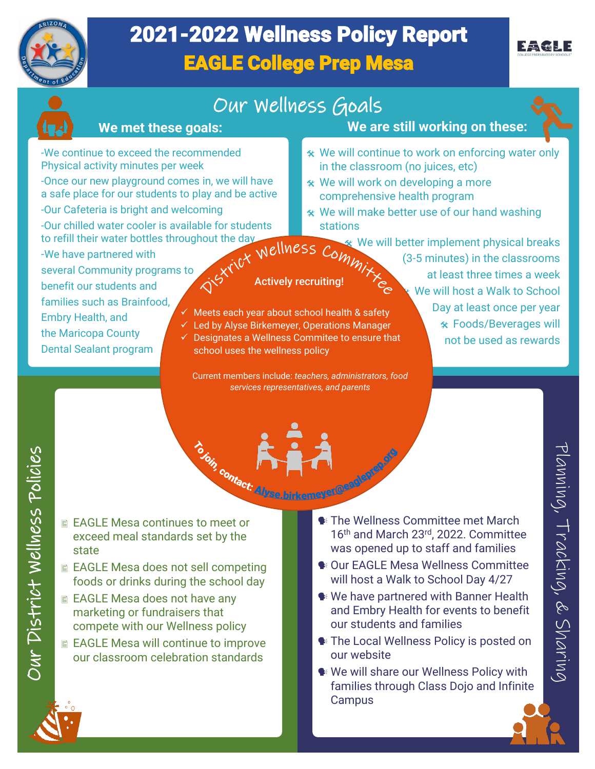

# 2021-2022 Wellness Policy Report EAGLE College Prep Mesa



## Our Wellness Goals

#### **We met these goals:**

**We are still working on these:**

**<sup>★</sup>** We will continue to work on enforcing water only

in the classroom (no juices, etc) \* We will work on developing a more comprehensive health program

- -We continue to exceed the recommended Physical activity minutes per week
- -Once our new playground comes in, we will have a safe place for our students to play and be active -Our Cafeteria is bright and welcoming
- -Our chilled water cooler is available for students to refill their water bottles throughout the day<br>-We have partnered with<br>- We have partnered with
- -We have partnered with
- several Community programs to benefit our students and families such as Brainfood, Embry Health, and the Maricopa County Dental Sealant program
- Actively recruiting!

stations

- $\checkmark$  Meets each year about school health & safety
- ✓ Led by Alyse Birkemeyer, Operations Manager
- ✓ Designates a Wellness Commitee to ensure that school uses the wellness policy
	- Current members include: *teachers, administrators, food services representatives, and parents*
- $\hat{\mathbf{x}}$  We will make better use of our hand washing **We will better implement physical breaks** (3-5 minutes) in the classrooms at least three times a week We will host a Walk to School Day at least once per year
	- Foods/Beverages will not be used as rewards

- EAGLE Mesa continues to meet or exceed meal standards set by the state
- EAGLE Mesa does not sell competing foods or drinks during the school day
- EAGLE Mesa does not have any marketing or fundraisers that compete with our Wellness policy
- EAGLE Mesa will continue to improve our classroom celebration standards
- The Wellness Committee met March 16th and March 23rd, 2022. Committee was opened up to staff and families COLE Mesa continues to meet the set of the set of the COLE Mesa and the set of the set of the set of the set of the set of the set of the set of the set of the set of the set of the set of the set of the set of the set of
	- Our EAGLE Mesa Wellness Committee will host a Walk to School Day 4/27
	- We have partnered with Banner Health and Embry Health for events to benefit our students and families
	- **\*** The Local Wellness Policy is posted on our website
	- We will share our Wellness Policy with families through Class Dojo and Infinite **Campus**



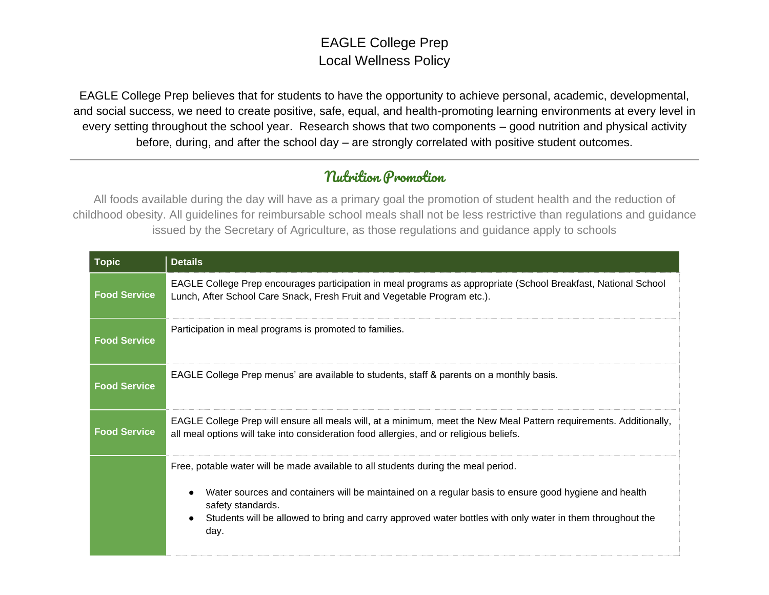#### EAGLE College Prep Local Wellness Policy

EAGLE College Prep believes that for students to have the opportunity to achieve personal, academic, developmental, and social success, we need to create positive, safe, equal, and health-promoting learning environments at every level in every setting throughout the school year. Research shows that two components – good nutrition and physical activity before, during, and after the school day – are strongly correlated with positive student outcomes.

#### Nutrition Promotion

All foods available during the day will have as a primary goal the promotion of student health and the reduction of childhood obesity. All guidelines for reimbursable school meals shall not be less restrictive than regulations and guidance issued by the Secretary of Agriculture, as those regulations and guidance apply to schools

| <b>Topic</b>        | <b>Details</b>                                                                                                                                                                                                                                                                                                               |
|---------------------|------------------------------------------------------------------------------------------------------------------------------------------------------------------------------------------------------------------------------------------------------------------------------------------------------------------------------|
| <b>Food Service</b> | EAGLE College Prep encourages participation in meal programs as appropriate (School Breakfast, National School<br>Lunch, After School Care Snack, Fresh Fruit and Vegetable Program etc.).                                                                                                                                   |
| <b>Food Service</b> | Participation in meal programs is promoted to families.                                                                                                                                                                                                                                                                      |
| <b>Food Service</b> | EAGLE College Prep menus' are available to students, staff & parents on a monthly basis.                                                                                                                                                                                                                                     |
| <b>Food Service</b> | EAGLE College Prep will ensure all meals will, at a minimum, meet the New Meal Pattern requirements. Additionally,<br>all meal options will take into consideration food allergies, and or religious beliefs.                                                                                                                |
|                     | Free, potable water will be made available to all students during the meal period.<br>Water sources and containers will be maintained on a regular basis to ensure good hygiene and health<br>safety standards.<br>Students will be allowed to bring and carry approved water bottles with only water in them throughout the |
|                     | day.                                                                                                                                                                                                                                                                                                                         |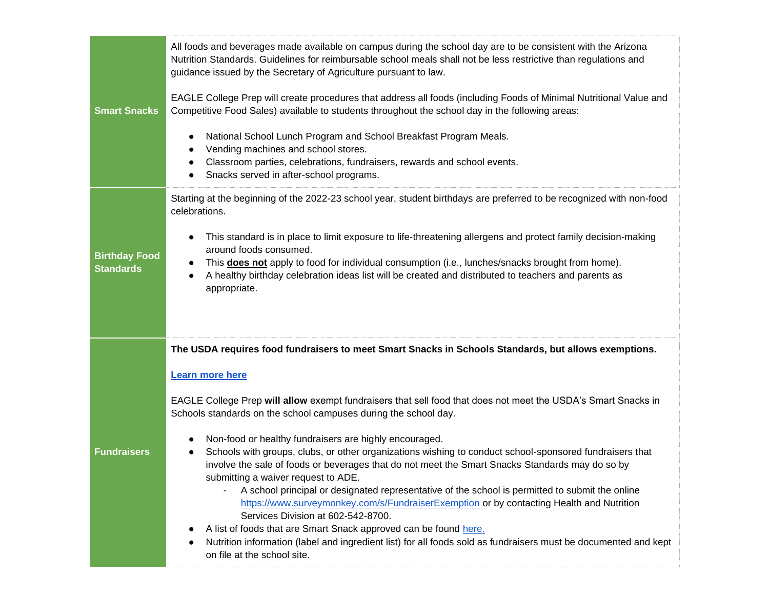| <b>Smart Snacks</b>                      | All foods and beverages made available on campus during the school day are to be consistent with the Arizona<br>Nutrition Standards. Guidelines for reimbursable school meals shall not be less restrictive than regulations and<br>guidance issued by the Secretary of Agriculture pursuant to law.<br>EAGLE College Prep will create procedures that address all foods (including Foods of Minimal Nutritional Value and<br>Competitive Food Sales) available to students throughout the school day in the following areas:<br>National School Lunch Program and School Breakfast Program Meals.<br>$\bullet$<br>Vending machines and school stores.<br>Classroom parties, celebrations, fundraisers, rewards and school events.<br>Snacks served in after-school programs.                                                                                                                                                                                                                                                                                                                |
|------------------------------------------|----------------------------------------------------------------------------------------------------------------------------------------------------------------------------------------------------------------------------------------------------------------------------------------------------------------------------------------------------------------------------------------------------------------------------------------------------------------------------------------------------------------------------------------------------------------------------------------------------------------------------------------------------------------------------------------------------------------------------------------------------------------------------------------------------------------------------------------------------------------------------------------------------------------------------------------------------------------------------------------------------------------------------------------------------------------------------------------------|
| <b>Birthday Food</b><br><b>Standards</b> | Starting at the beginning of the 2022-23 school year, student birthdays are preferred to be recognized with non-food<br>celebrations.<br>This standard is in place to limit exposure to life-threatening allergens and protect family decision-making<br>$\bullet$<br>around foods consumed.<br>This <b>does not</b> apply to food for individual consumption (i.e., lunches/snacks brought from home).<br>$\bullet$<br>A healthy birthday celebration ideas list will be created and distributed to teachers and parents as<br>appropriate.                                                                                                                                                                                                                                                                                                                                                                                                                                                                                                                                                 |
| <b>Fundraisers</b>                       | The USDA requires food fundraisers to meet Smart Snacks in Schools Standards, but allows exemptions.<br><b>Learn more here</b><br>EAGLE College Prep will allow exempt fundraisers that sell food that does not meet the USDA's Smart Snacks in<br>Schools standards on the school campuses during the school day.<br>Non-food or healthy fundraisers are highly encouraged.<br>Schools with groups, clubs, or other organizations wishing to conduct school-sponsored fundraisers that<br>involve the sale of foods or beverages that do not meet the Smart Snacks Standards may do so by<br>submitting a waiver request to ADE.<br>A school principal or designated representative of the school is permitted to submit the online<br>https://www.surveymonkey.com/s/FundraiserExemption or by contacting Health and Nutrition<br>Services Division at 602-542-8700.<br>A list of foods that are Smart Snack approved can be found here.<br>Nutrition information (label and ingredient list) for all foods sold as fundraisers must be documented and kept<br>on file at the school site. |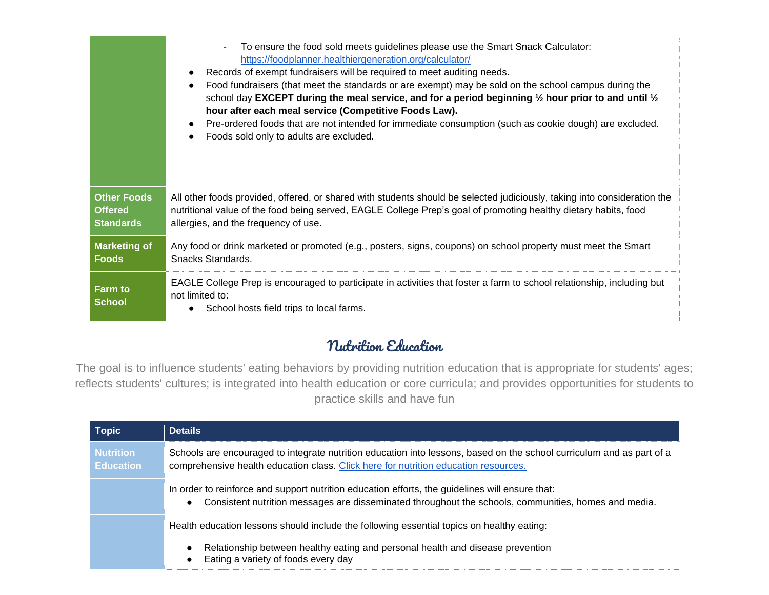|                                 | To ensure the food sold meets guidelines please use the Smart Snack Calculator:<br>https://foodplanner.healthiergeneration.org/calculator/<br>Records of exempt fundraisers will be required to meet auditing needs.<br>Food fundraisers (that meet the standards or are exempt) may be sold on the school campus during the<br>school day EXCEPT during the meal service, and for a period beginning $\frac{1}{2}$ hour prior to and until $\frac{1}{2}$<br>hour after each meal service (Competitive Foods Law).<br>Pre-ordered foods that are not intended for immediate consumption (such as cookie dough) are excluded.<br>Foods sold only to adults are excluded. |
|---------------------------------|-------------------------------------------------------------------------------------------------------------------------------------------------------------------------------------------------------------------------------------------------------------------------------------------------------------------------------------------------------------------------------------------------------------------------------------------------------------------------------------------------------------------------------------------------------------------------------------------------------------------------------------------------------------------------|
| <b>Other Foods</b>              | All other foods provided, offered, or shared with students should be selected judiciously, taking into consideration the                                                                                                                                                                                                                                                                                                                                                                                                                                                                                                                                                |
| <b>Offered</b>                  | nutritional value of the food being served, EAGLE College Prep's goal of promoting healthy dietary habits, food                                                                                                                                                                                                                                                                                                                                                                                                                                                                                                                                                         |
| <b>Standards</b>                | allergies, and the frequency of use.                                                                                                                                                                                                                                                                                                                                                                                                                                                                                                                                                                                                                                    |
| <b>Marketing of</b>             | Any food or drink marketed or promoted (e.g., posters, signs, coupons) on school property must meet the Smart                                                                                                                                                                                                                                                                                                                                                                                                                                                                                                                                                           |
| <b>Foods</b>                    | Snacks Standards.                                                                                                                                                                                                                                                                                                                                                                                                                                                                                                                                                                                                                                                       |
| <b>Farm to</b><br><b>School</b> | EAGLE College Prep is encouraged to participate in activities that foster a farm to school relationship, including but<br>not limited to:<br>School hosts field trips to local farms.                                                                                                                                                                                                                                                                                                                                                                                                                                                                                   |

#### Nutrition Education

The goal is to influence students' eating behaviors by providing nutrition education that is appropriate for students' ages; reflects students' cultures; is integrated into health education or core curricula; and provides opportunities for students to practice skills and have fun

| <b>Topic</b>                         | <b>Details</b>                                                                                                                                                                                               |
|--------------------------------------|--------------------------------------------------------------------------------------------------------------------------------------------------------------------------------------------------------------|
| <b>Nutrition</b><br><b>Education</b> | Schools are encouraged to integrate nutrition education into lessons, based on the school curriculum and as part of a<br>comprehensive health education class. Click here for nutrition education resources. |
|                                      | In order to reinforce and support nutrition education efforts, the guidelines will ensure that:<br>Consistent nutrition messages are disseminated throughout the schools, communities, homes and media.      |
|                                      | Health education lessons should include the following essential topics on healthy eating:                                                                                                                    |
|                                      | Relationship between healthy eating and personal health and disease prevention<br>Eating a variety of foods every day                                                                                        |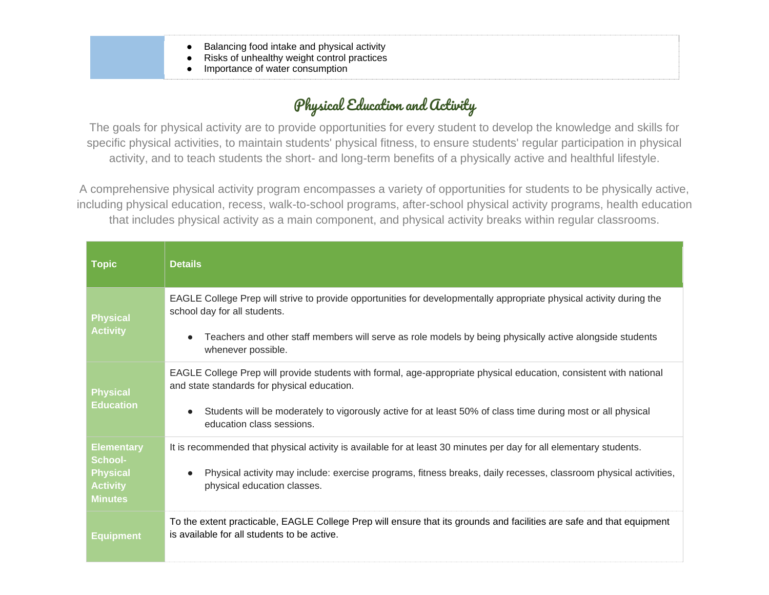- Balancing food intake and physical activity
- Risks of unhealthy weight control practices
- Importance of water consumption

## Physical Education and Activity

The goals for physical activity are to provide opportunities for every student to develop the knowledge and skills for specific physical activities, to maintain students' physical fitness, to ensure students' regular participation in physical activity, and to teach students the short- and long-term benefits of a physically active and healthful lifestyle.

A comprehensive physical activity program encompasses a variety of opportunities for students to be physically active, including physical education, recess, walk-to-school programs, after-school physical activity programs, health education that includes physical activity as a main component, and physical activity breaks within regular classrooms.

| <b>Topic</b>                                                                                | <b>Details</b>                                                                                                                                                                                                                                                                                                |
|---------------------------------------------------------------------------------------------|---------------------------------------------------------------------------------------------------------------------------------------------------------------------------------------------------------------------------------------------------------------------------------------------------------------|
| <b>Physical</b><br><b>Activity</b>                                                          | EAGLE College Prep will strive to provide opportunities for developmentally appropriate physical activity during the<br>school day for all students.<br>Teachers and other staff members will serve as role models by being physically active alongside students<br>whenever possible.                        |
| <b>Physical</b><br><b>Education</b>                                                         | EAGLE College Prep will provide students with formal, age-appropriate physical education, consistent with national<br>and state standards for physical education.<br>Students will be moderately to vigorously active for at least 50% of class time during most or all physical<br>education class sessions. |
| <b>Elementary</b><br><b>School-</b><br><b>Physical</b><br><b>Activity</b><br><b>Minutes</b> | It is recommended that physical activity is available for at least 30 minutes per day for all elementary students.<br>Physical activity may include: exercise programs, fitness breaks, daily recesses, classroom physical activities,<br>physical education classes.                                         |
| <b>Equipment</b>                                                                            | To the extent practicable, EAGLE College Prep will ensure that its grounds and facilities are safe and that equipment<br>is available for all students to be active.                                                                                                                                          |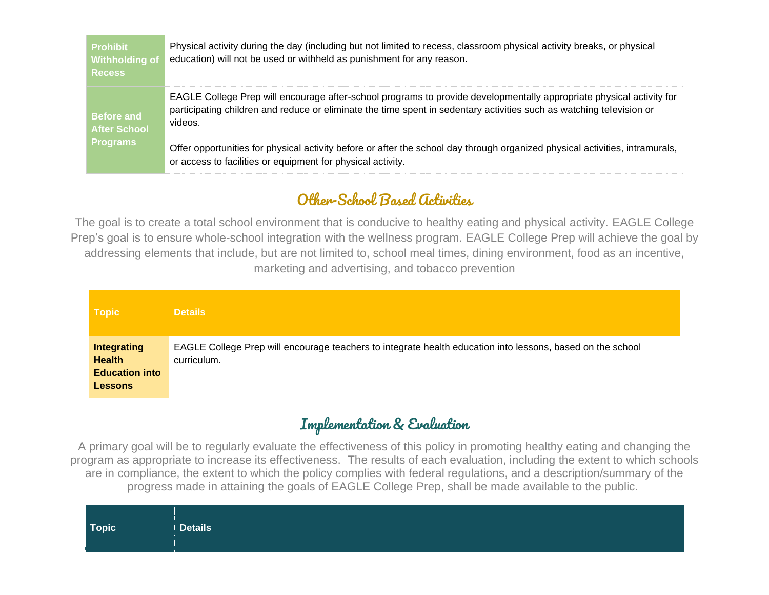| <b>Prohibit</b><br><b>Withholding of</b><br><b>Recess</b> | Physical activity during the day (including but not limited to recess, classroom physical activity breaks, or physical<br>education) will not be used or withheld as punishment for any reason.                                                         |
|-----------------------------------------------------------|---------------------------------------------------------------------------------------------------------------------------------------------------------------------------------------------------------------------------------------------------------|
| <b>Before and</b><br><b>After School</b>                  | EAGLE College Prep will encourage after-school programs to provide developmentally appropriate physical activity for<br>participating children and reduce or eliminate the time spent in sedentary activities such as watching television or<br>videos. |
| <b>Programs</b>                                           | Offer opportunities for physical activity before or after the school day through organized physical activities, intramurals,<br>or access to facilities or equipment for physical activity.                                                             |

### Other-School Based Activities

The goal is to create a total school environment that is conducive to healthy eating and physical activity. EAGLE College Prep's goal is to ensure whole-school integration with the wellness program. EAGLE College Prep will achieve the goal by addressing elements that include, but are not limited to, school meal times, dining environment, food as an incentive, marketing and advertising, and tobacco prevention

| <b>Topic</b>                                                                   | <b>Details</b>                                                                                                            |
|--------------------------------------------------------------------------------|---------------------------------------------------------------------------------------------------------------------------|
| <b>Integrating</b><br><b>Health</b><br><b>Education into</b><br><b>Lessons</b> | EAGLE College Prep will encourage teachers to integrate health education into lessons, based on the school<br>curriculum. |

#### Implementation & Evaluation

A primary goal will be to regularly evaluate the effectiveness of this policy in promoting healthy eating and changing the program as appropriate to increase its effectiveness. The results of each evaluation, including the extent to which schools are in compliance, the extent to which the policy complies with federal regulations, and a description/summary of the progress made in attaining the goals of EAGLE College Prep, shall be made available to the public.

| <b>Details</b> |
|----------------|
|                |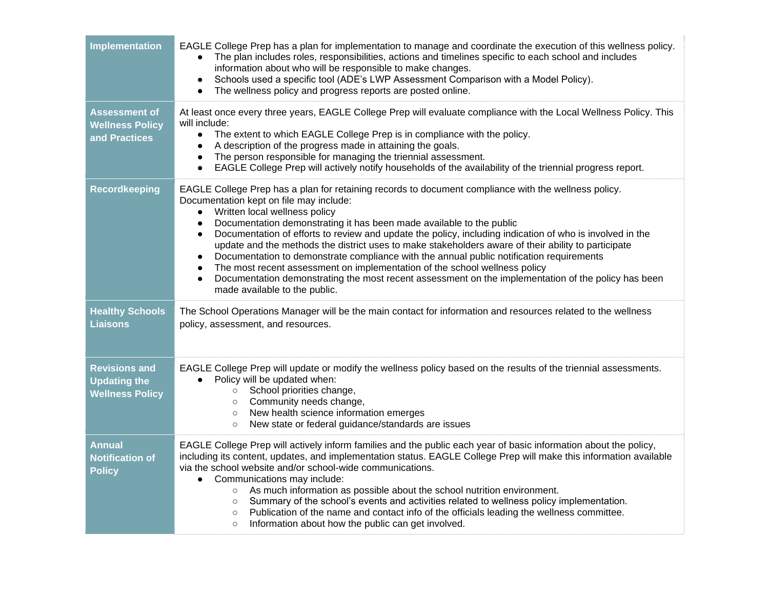| <b>Implementation</b>                                                 | EAGLE College Prep has a plan for implementation to manage and coordinate the execution of this wellness policy.<br>The plan includes roles, responsibilities, actions and timelines specific to each school and includes<br>information about who will be responsible to make changes.<br>Schools used a specific tool (ADE's LWP Assessment Comparison with a Model Policy).<br>$\bullet$<br>The wellness policy and progress reports are posted online.                                                                                                                                                                                                                                                                                                                                                                                                     |
|-----------------------------------------------------------------------|----------------------------------------------------------------------------------------------------------------------------------------------------------------------------------------------------------------------------------------------------------------------------------------------------------------------------------------------------------------------------------------------------------------------------------------------------------------------------------------------------------------------------------------------------------------------------------------------------------------------------------------------------------------------------------------------------------------------------------------------------------------------------------------------------------------------------------------------------------------|
| <b>Assessment of</b><br><b>Wellness Policy</b><br>and Practices       | At least once every three years, EAGLE College Prep will evaluate compliance with the Local Wellness Policy. This<br>will include:<br>The extent to which EAGLE College Prep is in compliance with the policy.<br>$\bullet$<br>A description of the progress made in attaining the goals.<br>$\bullet$<br>The person responsible for managing the triennial assessment.<br>$\bullet$<br>EAGLE College Prep will actively notify households of the availability of the triennial progress report.<br>$\bullet$                                                                                                                                                                                                                                                                                                                                                  |
| <b>Recordkeeping</b>                                                  | EAGLE College Prep has a plan for retaining records to document compliance with the wellness policy.<br>Documentation kept on file may include:<br>Written local wellness policy<br>$\bullet$<br>Documentation demonstrating it has been made available to the public<br>$\bullet$<br>Documentation of efforts to review and update the policy, including indication of who is involved in the<br>$\bullet$<br>update and the methods the district uses to make stakeholders aware of their ability to participate<br>Documentation to demonstrate compliance with the annual public notification requirements<br>$\bullet$<br>The most recent assessment on implementation of the school wellness policy<br>$\bullet$<br>Documentation demonstrating the most recent assessment on the implementation of the policy has been<br>made available to the public. |
| <b>Healthy Schools</b><br><b>Liaisons</b>                             | The School Operations Manager will be the main contact for information and resources related to the wellness<br>policy, assessment, and resources.                                                                                                                                                                                                                                                                                                                                                                                                                                                                                                                                                                                                                                                                                                             |
| <b>Revisions and</b><br><b>Updating the</b><br><b>Wellness Policy</b> | EAGLE College Prep will update or modify the wellness policy based on the results of the triennial assessments.<br>Policy will be updated when:<br>$\bullet$<br>○ School priorities change,<br>Community needs change,<br>$\circ$<br>o New health science information emerges<br>New state or federal guidance/standards are issues<br>$\circ$                                                                                                                                                                                                                                                                                                                                                                                                                                                                                                                 |
| <b>Annual</b><br><b>Notification of</b><br><b>Policy</b>              | EAGLE College Prep will actively inform families and the public each year of basic information about the policy,<br>including its content, updates, and implementation status. EAGLE College Prep will make this information available<br>via the school website and/or school-wide communications.<br>• Communications may include:<br>As much information as possible about the school nutrition environment.<br>$\circ$<br>o Summary of the school's events and activities related to wellness policy implementation.<br>Publication of the name and contact info of the officials leading the wellness committee.<br>$\circ$<br>Information about how the public can get involved.<br>$\circ$                                                                                                                                                              |